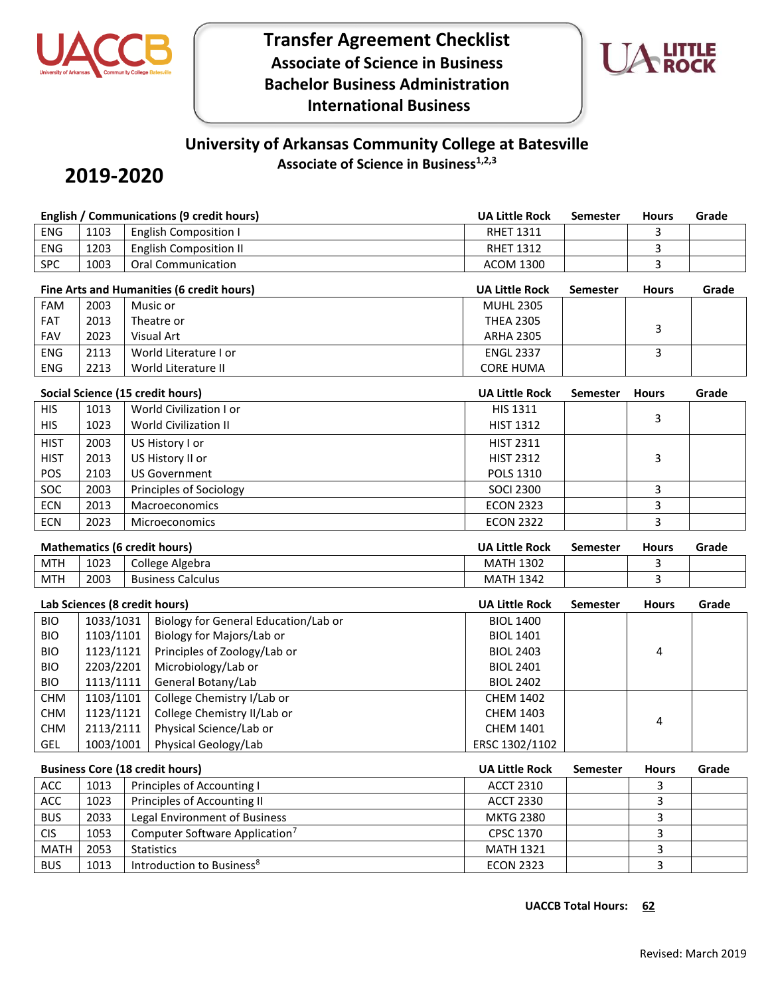

**Transfer Agreement Checklist Associate of Science in Business Bachelor Business Administration International Business**



# **University of Arkansas Community College at Batesville**

**Associate of Science in Business1,2,3**

## **2019-2020**

|             |                                     |                             | <b>English / Communications (9 credit hours)</b> | <b>UA Little Rock</b> | <b>Semester</b> | <b>Hours</b>   | Grade |
|-------------|-------------------------------------|-----------------------------|--------------------------------------------------|-----------------------|-----------------|----------------|-------|
| <b>ENG</b>  | 1103                                |                             | <b>English Composition I</b>                     | <b>RHET 1311</b>      |                 | 3              |       |
| ENG         | 1203                                |                             | <b>English Composition II</b>                    | <b>RHET 1312</b>      |                 | 3              |       |
| SPC         | 1003                                |                             | <b>Oral Communication</b>                        | <b>ACOM 1300</b>      |                 | 3              |       |
|             |                                     |                             | Fine Arts and Humanities (6 credit hours)        | <b>UA Little Rock</b> | <b>Semester</b> | <b>Hours</b>   | Grade |
| <b>FAM</b>  | 2003                                |                             | Music or                                         | <b>MUHL 2305</b>      |                 |                |       |
| FAT         | 2013                                |                             | Theatre or                                       | <b>THEA 2305</b>      |                 |                |       |
| <b>FAV</b>  | 2023                                |                             | Visual Art                                       | <b>ARHA 2305</b>      |                 | 3              |       |
| <b>ENG</b>  | 2113                                |                             | World Literature I or                            | <b>ENGL 2337</b>      |                 | $\overline{3}$ |       |
| <b>ENG</b>  | 2213                                |                             | World Literature II                              | <b>CORE HUMA</b>      |                 |                |       |
|             |                                     |                             | Social Science (15 credit hours)                 | <b>UA Little Rock</b> | <b>Semester</b> | <b>Hours</b>   | Grade |
| <b>HIS</b>  | 1013                                |                             | World Civilization I or                          | HIS 1311              |                 |                |       |
| <b>HIS</b>  | 1023                                |                             | World Civilization II                            | <b>HIST 1312</b>      |                 | 3              |       |
| <b>HIST</b> | 2003                                |                             | US History I or                                  | <b>HIST 2311</b>      |                 |                |       |
| <b>HIST</b> | 2013                                |                             | US History II or                                 | <b>HIST 2312</b>      |                 | 3              |       |
| POS         | 2103                                |                             | <b>US Government</b>                             | POLS 1310             |                 |                |       |
| SOC         | 2003                                |                             | Principles of Sociology                          | <b>SOCI 2300</b>      |                 | 3              |       |
| <b>ECN</b>  | 2013                                |                             | Macroeconomics                                   | <b>ECON 2323</b>      |                 | 3              |       |
| <b>ECN</b>  | 2023                                |                             | Microeconomics                                   | <b>ECON 2322</b>      |                 | 3              |       |
|             |                                     |                             |                                                  |                       |                 |                |       |
|             | <b>Mathematics (6 credit hours)</b> |                             |                                                  |                       | <b>Semester</b> | <b>Hours</b>   | Grade |
| <b>MTH</b>  | 1023                                |                             | College Algebra                                  | <b>MATH 1302</b>      |                 | 3              |       |
| <b>MTH</b>  | 2003                                |                             | <b>Business Calculus</b>                         | <b>MATH 1342</b>      |                 | 3              |       |
|             | Lab Sciences (8 credit hours)       |                             |                                                  | <b>UA Little Rock</b> | <b>Semester</b> | <b>Hours</b>   | Grade |
| <b>BIO</b>  | 1033/1031                           |                             | Biology for General Education/Lab or             | <b>BIOL 1400</b>      |                 |                |       |
| <b>BIO</b>  | 1103/1101                           |                             | Biology for Majors/Lab or                        | <b>BIOL 1401</b>      |                 |                |       |
| <b>BIO</b>  | 1123/1121                           |                             | Principles of Zoology/Lab or                     | <b>BIOL 2403</b>      |                 | 4              |       |
| <b>BIO</b>  | 2203/2201                           |                             | Microbiology/Lab or                              | <b>BIOL 2401</b>      |                 |                |       |
| <b>BIO</b>  | 1113/1111                           |                             | General Botany/Lab                               | <b>BIOL 2402</b>      |                 |                |       |
| <b>CHM</b>  | 1103/1101                           |                             | College Chemistry I/Lab or                       | <b>CHEM 1402</b>      |                 |                |       |
| <b>CHM</b>  | 1123/1121                           |                             | College Chemistry II/Lab or                      | <b>CHEM 1403</b>      |                 | 4              |       |
| <b>CHM</b>  | 2113/2111                           |                             | Physical Science/Lab or                          | <b>CHEM 1401</b>      |                 |                |       |
| GEL         | 1003/1001                           |                             | Physical Geology/Lab                             | ERSC 1302/1102        |                 |                |       |
|             |                                     |                             | <b>Business Core (18 credit hours)</b>           | <b>UA Little Rock</b> | <b>Semester</b> | <b>Hours</b>   | Grade |
| ACC         | 1013<br>Principles of Accounting I  |                             |                                                  | <b>ACCT 2310</b>      |                 | 3              |       |
| ACC         | 1023                                | Principles of Accounting II |                                                  | <b>ACCT 2330</b>      |                 | 3              |       |
| <b>BUS</b>  | 2033                                |                             | Legal Environment of Business                    | <b>MKTG 2380</b>      |                 | 3              |       |
| <b>CIS</b>  | 1053                                |                             | Computer Software Application <sup>7</sup>       | CPSC 1370             |                 | 3              |       |

MATH 2053 Statistics 3 BUS 1013 Introduction to Business<sup>8</sup> exercise the ECON 2323 3 3 3 3

**UACCB Total Hours: 62**